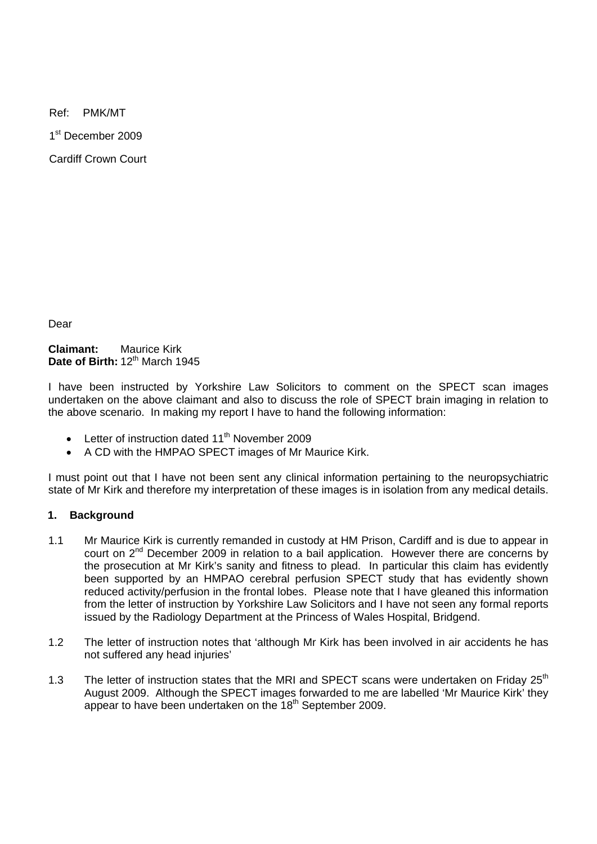Ref: PMK/MT

1<sup>st</sup> December 2009

Cardiff Crown Court

Dear

**Claimant:** Maurice Kirk Date of Birth: 12<sup>th</sup> March 1945

I have been instructed by Yorkshire Law Solicitors to comment on the SPECT scan images undertaken on the above claimant and also to discuss the role of SPECT brain imaging in relation to the above scenario. In making my report I have to hand the following information:

- Letter of instruction dated  $11<sup>th</sup>$  November 2009
- A CD with the HMPAO SPECT images of Mr Maurice Kirk.

I must point out that I have not been sent any clinical information pertaining to the neuropsychiatric state of Mr Kirk and therefore my interpretation of these images is in isolation from any medical details.

## **1. Background**

- 1.1 Mr Maurice Kirk is currently remanded in custody at HM Prison, Cardiff and is due to appear in court on 2nd December 2009 in relation to a bail application. However there are concerns by the prosecution at Mr Kirk's sanity and fitness to plead. In particular this claim has evidently been supported by an HMPAO cerebral perfusion SPECT study that has evidently shown reduced activity/perfusion in the frontal lobes. Please note that I have gleaned this information from the letter of instruction by Yorkshire Law Solicitors and I have not seen any formal reports issued by the Radiology Department at the Princess of Wales Hospital, Bridgend.
- 1.2 The letter of instruction notes that 'although Mr Kirk has been involved in air accidents he has not suffered any head injuries'
- 1.3 The letter of instruction states that the MRI and SPECT scans were undertaken on Friday 25<sup>th</sup> August 2009. Although the SPECT images forwarded to me are labelled 'Mr Maurice Kirk' they appear to have been undertaken on the 18<sup>th</sup> September 2009.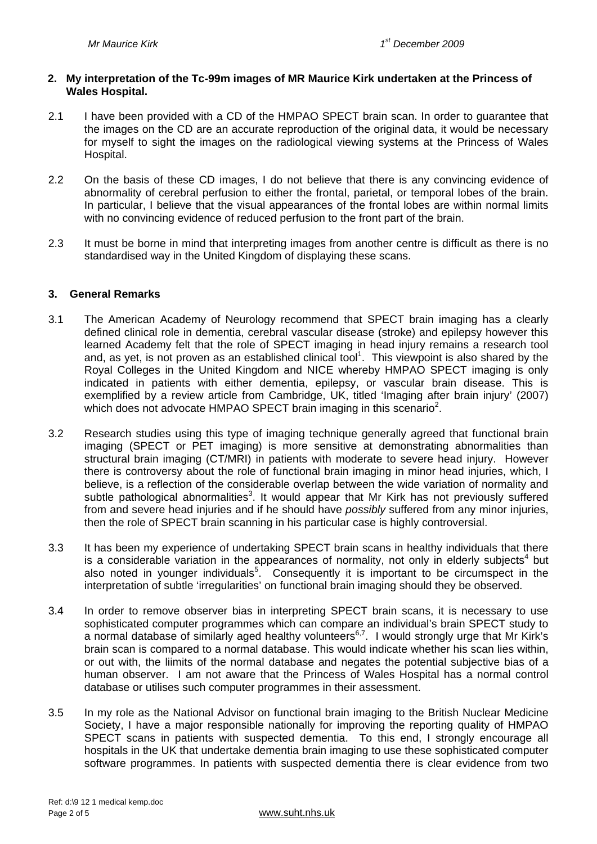#### **2. My interpretation of the Tc-99m images of MR Maurice Kirk undertaken at the Princess of Wales Hospital.**

- 2.1 I have been provided with a CD of the HMPAO SPECT brain scan. In order to quarantee that the images on the CD are an accurate reproduction of the original data, it would be necessary for myself to sight the images on the radiological viewing systems at the Princess of Wales Hospital.
- 2.2 On the basis of these CD images, I do not believe that there is any convincing evidence of abnormality of cerebral perfusion to either the frontal, parietal, or temporal lobes of the brain. In particular, I believe that the visual appearances of the frontal lobes are within normal limits with no convincing evidence of reduced perfusion to the front part of the brain.
- 2.3 It must be borne in mind that interpreting images from another centre is difficult as there is no standardised way in the United Kingdom of displaying these scans.

#### **3. General Remarks**

- 3.1 The American Academy of Neurology recommend that SPECT brain imaging has a clearly defined clinical role in dementia, cerebral vascular disease (stroke) and epilepsy however this learned Academy felt that the role of SPECT imaging in head injury remains a research tool and, as yet, is not proven as an established clinical tool<sup>1</sup>. This viewpoint is also shared by the Royal Colleges in the United Kingdom and NICE whereby HMPAO SPECT imaging is only indicated in patients with either dementia, epilepsy, or vascular brain disease. This is exemplified by a review article from Cambridge, UK, titled 'Imaging after brain injury' (2007) which does not advocate HMPAO SPECT brain imaging in this scenario<sup>2</sup>.
- 3.2 Research studies using this type of imaging technique generally agreed that functional brain imaging (SPECT or PET imaging) is more sensitive at demonstrating abnormalities than structural brain imaging (CT/MRI) in patients with moderate to severe head injury. However there is controversy about the role of functional brain imaging in minor head injuries, which, I believe, is a reflection of the considerable overlap between the wide variation of normality and subtle pathological abnormalities<sup>3</sup>. It would appear that Mr Kirk has not previously suffered from and severe head injuries and if he should have *possibly* suffered from any minor injuries, then the role of SPECT brain scanning in his particular case is highly controversial.
- 3.3 It has been my experience of undertaking SPECT brain scans in healthy individuals that there is a considerable variation in the appearances of normality, not only in elderly subjects<sup>4</sup> but also noted in younger individuals<sup>5</sup>. Consequently it is important to be circumspect in the interpretation of subtle 'irregularities' on functional brain imaging should they be observed.
- 3.4 In order to remove observer bias in interpreting SPECT brain scans, it is necessary to use sophisticated computer programmes which can compare an individual's brain SPECT study to a normal database of similarly aged healthy volunteers6,7. I would strongly urge that Mr Kirk's brain scan is compared to a normal database. This would indicate whether his scan lies within, or out with, the liimits of the normal database and negates the potential subjective bias of a human observer. I am not aware that the Princess of Wales Hospital has a normal control database or utilises such computer programmes in their assessment.
- 3.5 In my role as the National Advisor on functional brain imaging to the British Nuclear Medicine Society, I have a major responsible nationally for improving the reporting quality of HMPAO SPECT scans in patients with suspected dementia. To this end, I strongly encourage all hospitals in the UK that undertake dementia brain imaging to use these sophisticated computer software programmes. In patients with suspected dementia there is clear evidence from two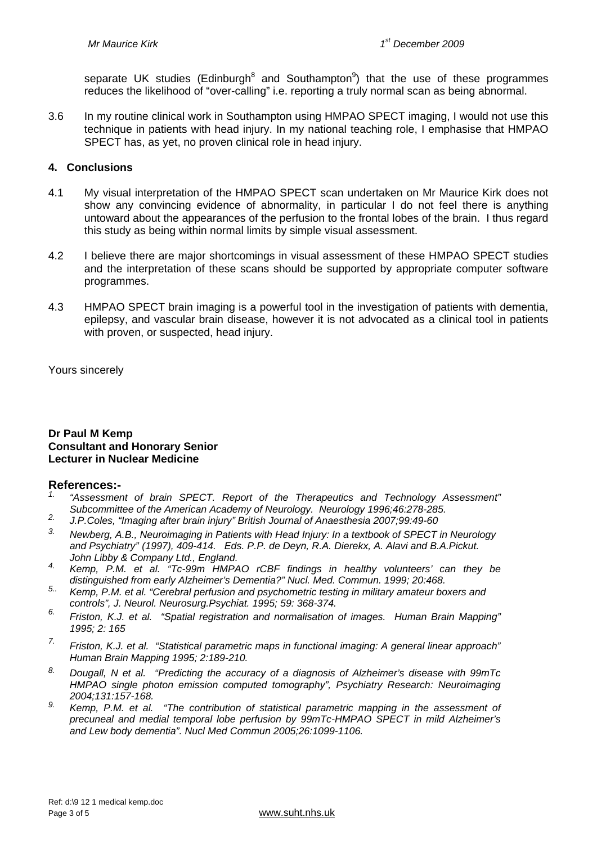separate UK studies (Edinburgh<sup>8</sup> and Southampton<sup>9</sup>) that the use of these programmes reduces the likelihood of "over-calling" i.e. reporting a truly normal scan as being abnormal.

3.6 In my routine clinical work in Southampton using HMPAO SPECT imaging, I would not use this technique in patients with head injury. In my national teaching role, I emphasise that HMPAO SPECT has, as yet, no proven clinical role in head injury.

## **4. Conclusions**

- 4.1 My visual interpretation of the HMPAO SPECT scan undertaken on Mr Maurice Kirk does not show any convincing evidence of abnormality, in particular I do not feel there is anything untoward about the appearances of the perfusion to the frontal lobes of the brain. I thus regard this study as being within normal limits by simple visual assessment.
- 4.2 I believe there are major shortcomings in visual assessment of these HMPAO SPECT studies and the interpretation of these scans should be supported by appropriate computer software programmes.
- 4.3 HMPAO SPECT brain imaging is a powerful tool in the investigation of patients with dementia, epilepsy, and vascular brain disease, however it is not advocated as a clinical tool in patients with proven, or suspected, head injury.

Yours sincerely

#### **Dr Paul M Kemp Consultant and Honorary Senior Lecturer in Nuclear Medicine**

## **References:-**

- *1. "Assessment of brain SPECT. Report of the Therapeutics and Technology Assessment"*
- *Subcommittee of the American Academy of Neurology. Neurology 1996;46:278-285. 2. J.P.Coles, "Imaging after brain injury" British Journal of Anaesthesia 2007;99:49-60*
- *3. Newberg, A.B., Neuroimaging in Patients with Head Injury: In a textbook of SPECT in Neurology and Psychiatry" (1997), 409-414. Eds. P.P. de Deyn, R.A. Dierekx, A. Alavi and B.A.Pickut.*
- *John Libby & Company Ltd., England. 4. Kemp, P.M. et al. "Tc-99m HMPAO rCBF findings in healthy volunteers' can they be distinguished from early Alzheimer's Dementia?" Nucl. Med. Commun. 1999; 20:468.*
- *5.. Kemp, P.M. et al. "Cerebral perfusion and psychometric testing in military amateur boxers and controls", J. Neurol. Neurosurg.Psychiat. 1995; 59: 368-374.*
- *6. Friston, K.J. et al. "Spatial registration and normalisation of images. Human Brain Mapping" 1995; 2: 165*
- *7. Friston, K.J. et al. "Statistical parametric maps in functional imaging: A general linear approach" Human Brain Mapping 1995; 2:189-210.*
- *8. Dougall, N et al. "Predicting the accuracy of a diagnosis of Alzheimer's disease with 99mTc HMPAO single photon emission computed tomography", Psychiatry Research: Neuroimaging 2004;131:157-168.*
- <sup>9.</sup> Kemp, P.M. et al. "The contribution of statistical parametric mapping in the assessment of *precuneal and medial temporal lobe perfusion by 99mTc-HMPAO SPECT in mild Alzheimer's and Lew body dementia". Nucl Med Commun 2005;26:1099-1106.*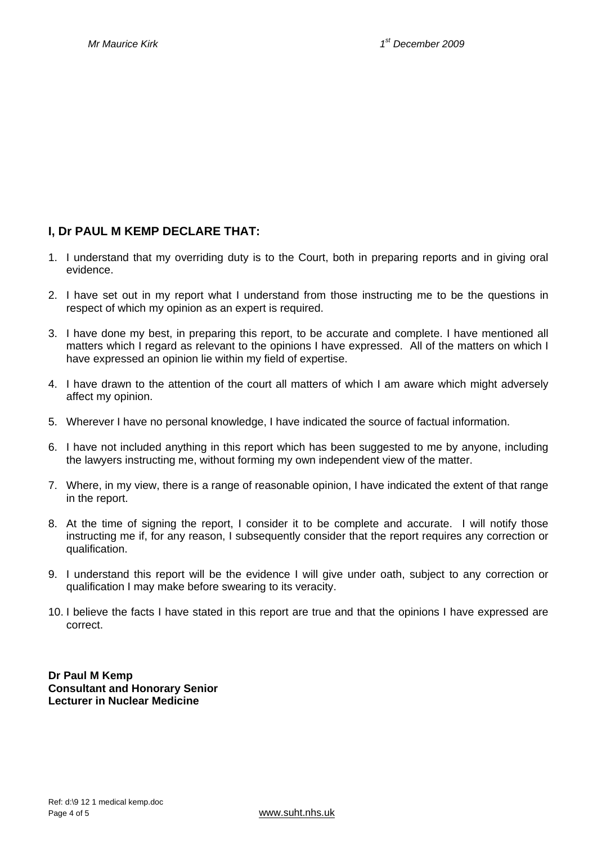# **I, Dr PAUL M KEMP DECLARE THAT:**

- 1. I understand that my overriding duty is to the Court, both in preparing reports and in giving oral evidence.
- 2. I have set out in my report what I understand from those instructing me to be the questions in respect of which my opinion as an expert is required.
- 3. I have done my best, in preparing this report, to be accurate and complete. I have mentioned all matters which I regard as relevant to the opinions I have expressed. All of the matters on which I have expressed an opinion lie within my field of expertise.
- 4. I have drawn to the attention of the court all matters of which I am aware which might adversely affect my opinion.
- 5. Wherever I have no personal knowledge, I have indicated the source of factual information.
- 6. I have not included anything in this report which has been suggested to me by anyone, including the lawyers instructing me, without forming my own independent view of the matter.
- 7. Where, in my view, there is a range of reasonable opinion, I have indicated the extent of that range in the report.
- 8. At the time of signing the report, I consider it to be complete and accurate. I will notify those instructing me if, for any reason, I subsequently consider that the report requires any correction or qualification.
- 9. I understand this report will be the evidence I will give under oath, subject to any correction or qualification I may make before swearing to its veracity.
- 10. I believe the facts I have stated in this report are true and that the opinions I have expressed are correct.

**Dr Paul M Kemp Consultant and Honorary Senior Lecturer in Nuclear Medicine**